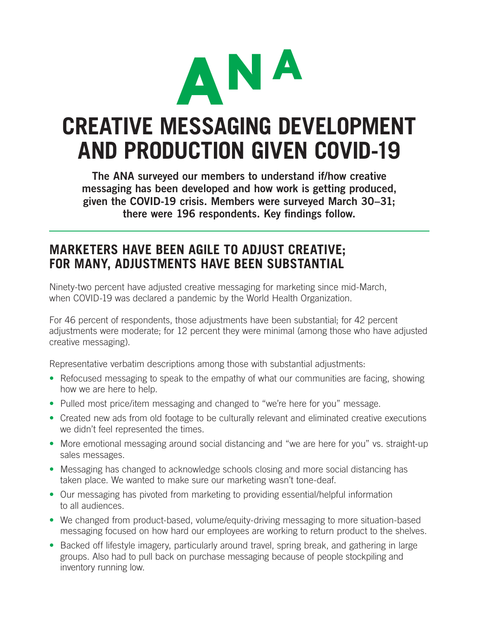

# **CREATIVE MESSAGING DEVELOPMENT AND PRODUCTION GIVEN COVID-19**

The ANA surveyed our members to understand if/how creative messaging has been developed and how work is getting produced, given the COVID-19 crisis. Members were surveyed March 30–31; there were 196 respondents. Key findings follow.

#### **MARKETERS HAVE BEEN AGILE TO ADJUST CREATIVE; FOR MANY, ADJUSTMENTS HAVE BEEN SUBSTANTIAL**

Ninety-two percent have adjusted creative messaging for marketing since mid-March, when COVID-19 was declared a pandemic by the World Health Organization.

For 46 percent of respondents, those adjustments have been substantial; for 42 percent adjustments were moderate; for 12 percent they were minimal (among those who have adjusted creative messaging).

Representative verbatim descriptions among those with substantial adjustments:

- Refocused messaging to speak to the empathy of what our communities are facing, showing how we are here to help.
- Pulled most price/item messaging and changed to "we're here for you" message.
- Created new ads from old footage to be culturally relevant and eliminated creative executions we didn't feel represented the times.
- More emotional messaging around social distancing and "we are here for you" vs. straight-up sales messages.
- Messaging has changed to acknowledge schools closing and more social distancing has taken place. We wanted to make sure our marketing wasn't tone-deaf.
- Our messaging has pivoted from marketing to providing essential/helpful information to all audiences.
- We changed from product-based, volume/equity-driving messaging to more situation-based messaging focused on how hard our employees are working to return product to the shelves.
- Backed off lifestyle imagery, particularly around travel, spring break, and gathering in large groups. Also had to pull back on purchase messaging because of people stockpiling and inventory running low.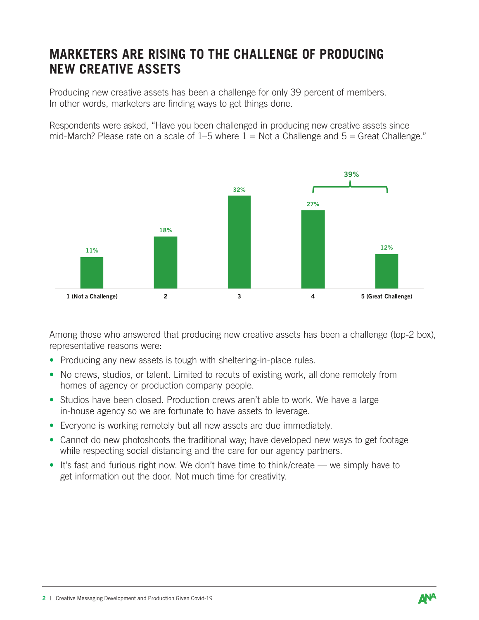### **MARKETERS ARE RISING TO THE CHALLENGE OF PRODUCING NEW CREATIVE ASSETS**

Producing new creative assets has been a challenge for only 39 percent of members. In other words, marketers are finding ways to get things done.

Respondents were asked, "Have you been challenged in producing new creative assets since mid-March? Please rate on a scale of  $1-5$  where  $1 = Not$  a Challenge and  $5 = Great$  Challenge."



 $\mathbf{A}$  assets since  $\mathbf{A}$  assets since mid-March? In production assets since  $\mathbf{A}$ Among those who answered that producing new creative assets has been a challenge (top-2 box), representative reasons were:

- Producing any new assets is tough with sheltering-in-place rules.
- No crews, studios, or talent. Limited to recuts of existing work, all done remotely from homes of agency or production company people.
- Studios have been closed. Production crews aren't able to work. We have a large in-house agency so we are fortunate to have assets to leverage.
- Everyone is working remotely but all new assets are due immediately.
- Cannot do new photoshoots the traditional way; have developed new ways to get footage while respecting social distancing and the care for our agency partners.
- It's fast and furious right now. We don't have time to think/create we simply have to get information out the door. Not much time for creativity.

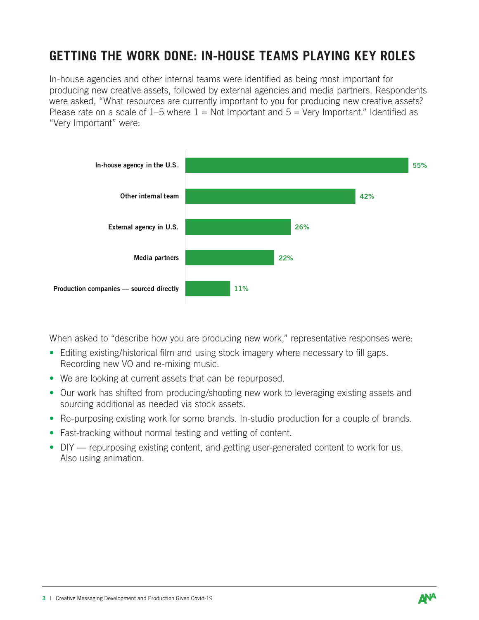## **GETTING THE WORK DONE: IN-HOUSE TEAMS PLAYING KEY ROLES**

Please rate on a scale of 1–5 where  $1 = Not$  Important and  $5 = Very$  Important." Identified as In-house agencies and other internal teams were identified as being most important for producing new creative assets, followed by external agencies and media partners. Respondents were asked, "What resources are currently important to you for producing new creative assets? "Very Important" were:



 $\mathcal{L}(\mathcal{L}(\mathcal{L}(\mathcal{L}(\mathcal{L}(\mathcal{L}(\mathcal{L}(\mathcal{L}(\mathcal{L}(\mathcal{L}(\mathcal{L}(\mathcal{L}(\mathcal{L}(\mathcal{L}(\mathcal{L}(\mathcal{L}(\mathcal{L}(\mathcal{L}(\mathcal{L}(\mathcal{L}(\mathcal{L}(\mathcal{L}(\mathcal{L}(\mathcal{L}(\mathcal{L}(\mathcal{L}(\mathcal{L}(\mathcal{L}(\mathcal{L}(\mathcal{L}(\mathcal{L}(\mathcal{L}(\mathcal{L}(\mathcal{L}(\mathcal{L}(\mathcal{L}(\mathcal{$ When asked to "describe how you are producing new work," representative responses were:

- Editing existing/historical film and using stock imagery where necessary to fill gaps. Recording new VO and re-mixing music.
- We are looking at current assets that can be repurposed.
- Our work has shifted from producing/shooting new work to leveraging existing assets and sourcing additional as needed via stock assets.
- Re-purposing existing work for some brands. In-studio production for a couple of brands.
- Fast-tracking without normal testing and vetting of content.
- DIY repurposing existing content, and getting user-generated content to work for us. Also using animation.